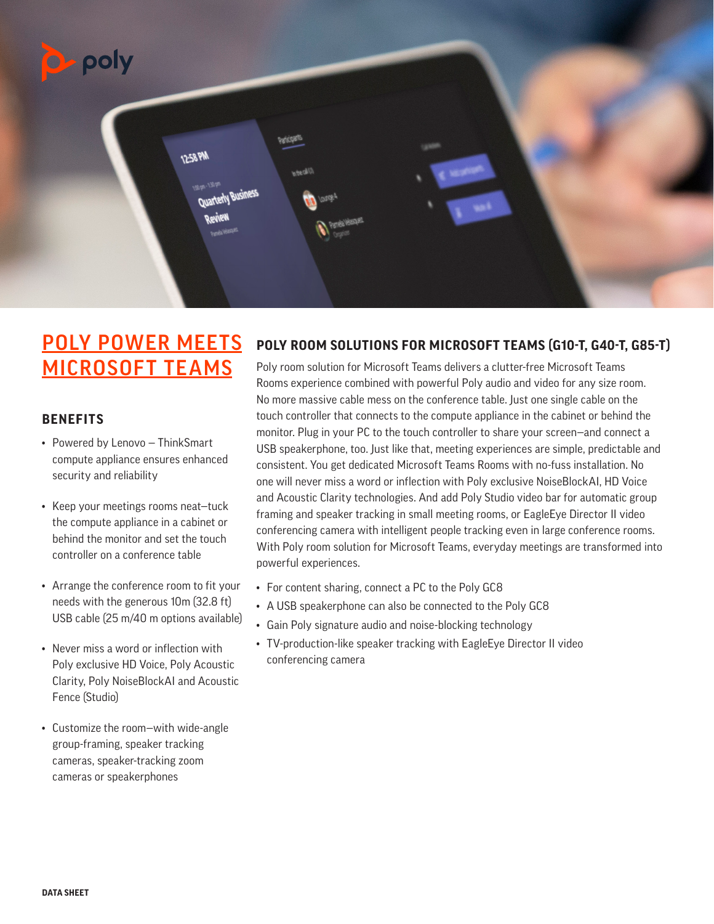

# POLY POWER MEETS MICROSOFT TEAMS

# **BENEFITS**

- Powered by Lenovo ThinkSmart compute appliance ensures enhanced security and reliability
- Keep your meetings rooms neat—tuck the compute appliance in a cabinet or behind the monitor and set the touch controller on a conference table
- Arrange the conference room to fit your needs with the generous 10m (32.8 ft) USB cable (25 m/40 m options available)
- Never miss a word or inflection with Poly exclusive HD Voice, Poly Acoustic Clarity, Poly NoiseBlockAI and Acoustic Fence (Studio)
- Customize the room—with wide-angle group-framing, speaker tracking cameras, speaker-tracking zoom cameras or speakerphones

# **POLY ROOM SOLUTIONS FOR MICROSOFT TEAMS (G10-T, G40-T, G85-T)**

Poly room solution for Microsoft Teams delivers a clutter-free Microsoft Teams Rooms experience combined with powerful Poly audio and video for any size room. No more massive cable mess on the conference table. Just one single cable on the touch controller that connects to the compute appliance in the cabinet or behind the monitor. Plug in your PC to the touch controller to share your screen—and connect a USB speakerphone, too. Just like that, meeting experiences are simple, predictable and consistent. You get dedicated Microsoft Teams Rooms with no-fuss installation. No one will never miss a word or inflection with Poly exclusive NoiseBlockAI, HD Voice and Acoustic Clarity technologies. And add Poly Studio video bar for automatic group framing and speaker tracking in small meeting rooms, or EagleEye Director II video conferencing camera with intelligent people tracking even in large conference rooms. With Poly room solution for Microsoft Teams, everyday meetings are transformed into powerful experiences.

- For content sharing, connect a PC to the Poly GC8
- A USB speakerphone can also be connected to the Poly GC8
- Gain Poly signature audio and noise-blocking technology
- TV-production-like speaker tracking with EagleEye Director II video conferencing camera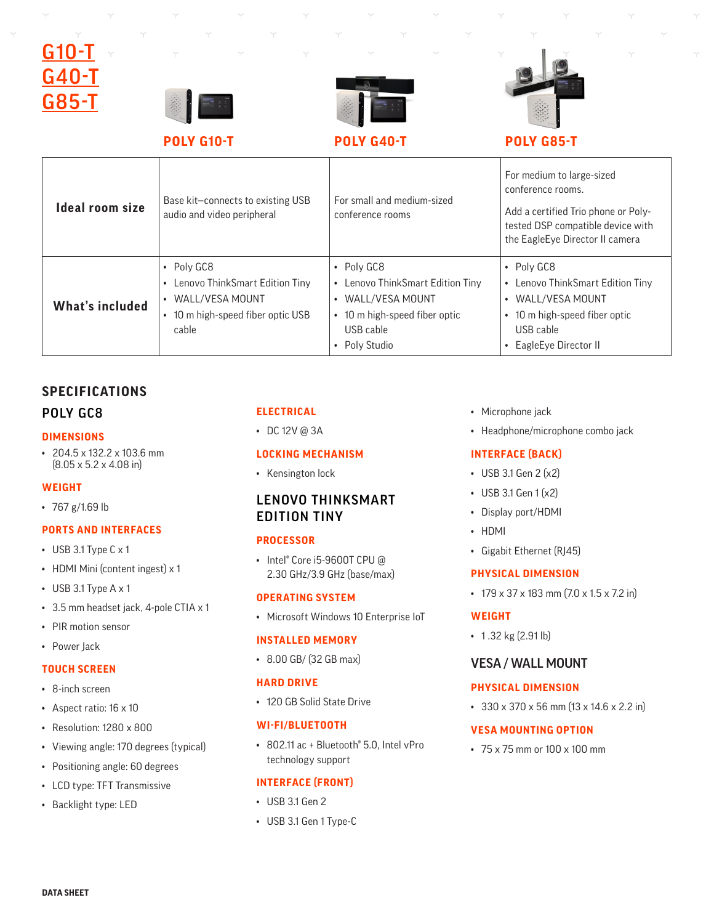# G10· G40-T G85-T







**POLY G10-T POLY G40-T POLY G85-T**

| Ideal room size | Base kit-connects to existing USB<br>audio and video peripheral                                                     | For small and medium-sized<br>conference rooms                                                                                 | For medium to large-sized<br>conference rooms.<br>Add a certified Trio phone or Poly-<br>tested DSP compatible device with<br>the EagleEye Director II camera           |
|-----------------|---------------------------------------------------------------------------------------------------------------------|--------------------------------------------------------------------------------------------------------------------------------|-------------------------------------------------------------------------------------------------------------------------------------------------------------------------|
| What's included | $\cdot$ Poly GC8<br>Lenovo ThinkSmart Edition Tiny<br>WALL/VESA MOUNT<br>• 10 m high-speed fiber optic USB<br>cable | • Poly GC8<br>Lenovo ThinkSmart Edition Tiny<br>WALL/VESA MOUNT<br>• 10 m high-speed fiber optic<br>USB cable<br>• Poly Studio | $\cdot$ Poly GC8<br>• Lenovo ThinkSmart Edition Tiny<br>WALL/VESA MOUNT<br>$\bullet$<br>10 m high-speed fiber optic<br>$\bullet$<br>USB cable<br>• EagleEye Director II |

# **SPECIFICATIONS**

#### POLY GC8

#### **DIMENSIONS**

• 204.5 x 132.2 x 103.6 mm (8.05 x 5.2 x 4.08 in)

# **WEIGHT**

• 767 g/1.69 lb

# **PORTS AND INTERFACES**

- USB 3.1 Type C x 1
- HDMI Mini (content ingest) x 1
- USB 3.1 Type A x 1
- 3.5 mm headset jack, 4-pole CTIA x 1
- PIR motion sensor
- Power Jack

#### **TOUCH SCREEN**

- 8-inch screen
- Aspect ratio: 16 x 10
- Resolution: 1280 x 800
- Viewing angle: 170 degrees (typical)
- Positioning angle: 60 degrees
- LCD type: TFT Transmissive
- Backlight type: LED

# **ELECTRICAL**

• DC 12V @ 3A

#### **LOCKING MECHANISM**

• Kensington lock

# LENOVO THINKSMART EDITION TINY

#### **PROCESSOR**

• Intel® Core i5-9600T CPU @ 2.30 GHz/3.9 GHz (base/max)

#### **OPERATING SYSTEM**

• Microsoft Windows 10 Enterprise IoT

#### **INSTALLED MEMORY**

• 8.00 GB/ (32 GB max)

#### **HARD DRIVE**

• 120 GB Solid State Drive

# **WI-FI/BLUETOOTH**

• 802.11 ac + Bluetooth® 5.0, Intel vPro technology support

#### **INTERFACE (FRONT)**

- USB 3.1 Gen 2
- USB 3.1 Gen 1 Type-C
- Microphone jack
- Headphone/microphone combo jack

#### **INTERFACE (BACK)**

- USB 3.1 Gen 2 (x2)
- USB 3.1 Gen 1 (x2)
- Display port/HDMI
- HDMI
- Gigabit Ethernet (RJ45)

#### **PHYSICAL DIMENSION**

 $\cdot$  179 x 37 x 183 mm (7.0 x 1.5 x 7.2 in)

# **WEIGHT**

• 1.32 kg (2.91 lb)

# VESA / WALL MOUNT

#### **PHYSICAL DIMENSION**

• 330 x 370 x 56 mm (13 x 14.6 x 2.2 in)

#### **VESA MOUNTING OPTION**

• 75 x 75 mm or 100 x 100 mm